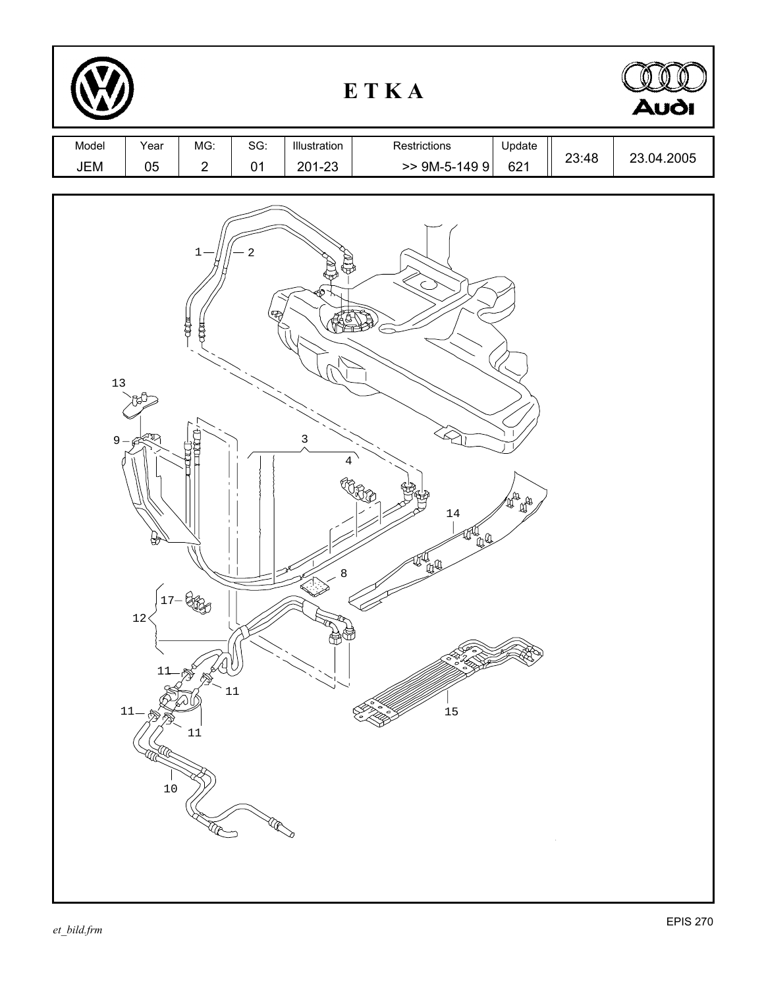| ETKA         |                                                              |                                            |              |                                                           |                                   |                                                                                                                                                                                                                                                                                                                                                     | Audi  |            |
|--------------|--------------------------------------------------------------|--------------------------------------------|--------------|-----------------------------------------------------------|-----------------------------------|-----------------------------------------------------------------------------------------------------------------------------------------------------------------------------------------------------------------------------------------------------------------------------------------------------------------------------------------------------|-------|------------|
| Model<br>JEM | Year<br>05                                                   | MG:<br>$\overline{c}$                      | SG:<br>01    | Illustration<br>201-23                                    | Restrictions<br>$> 9M-5-1499$     | Update<br>621                                                                                                                                                                                                                                                                                                                                       | 23:48 | 23.04.2005 |
| $13$<br>$9-$ | $\widetilde{\mathcal{F}}$<br>₩<br>$12\,$<br>11<br>11<br>$10$ | 1<br>心耳<br>COOH<br>$17 - 68 - 9$<br>$11\,$ | 2<br>Œ<br>11 | $\bigoplus$<br>₩<br>$\mathbf{3}$<br>$\sqrt{4}$<br>$\,8\,$ | $1\,4$<br>ya.<br>W<br>她<br>$15\,$ | $\begin{picture}(130,10) \put(0,0){\line(1,0){15}} \put(15,0){\line(1,0){15}} \put(15,0){\line(1,0){15}} \put(15,0){\line(1,0){15}} \put(15,0){\line(1,0){15}} \put(15,0){\line(1,0){15}} \put(15,0){\line(1,0){15}} \put(15,0){\line(1,0){15}} \put(15,0){\line(1,0){15}} \put(15,0){\line(1,0){15}} \put(15,0){\line(1,0){15}} \put(15,0){\line($ |       |            |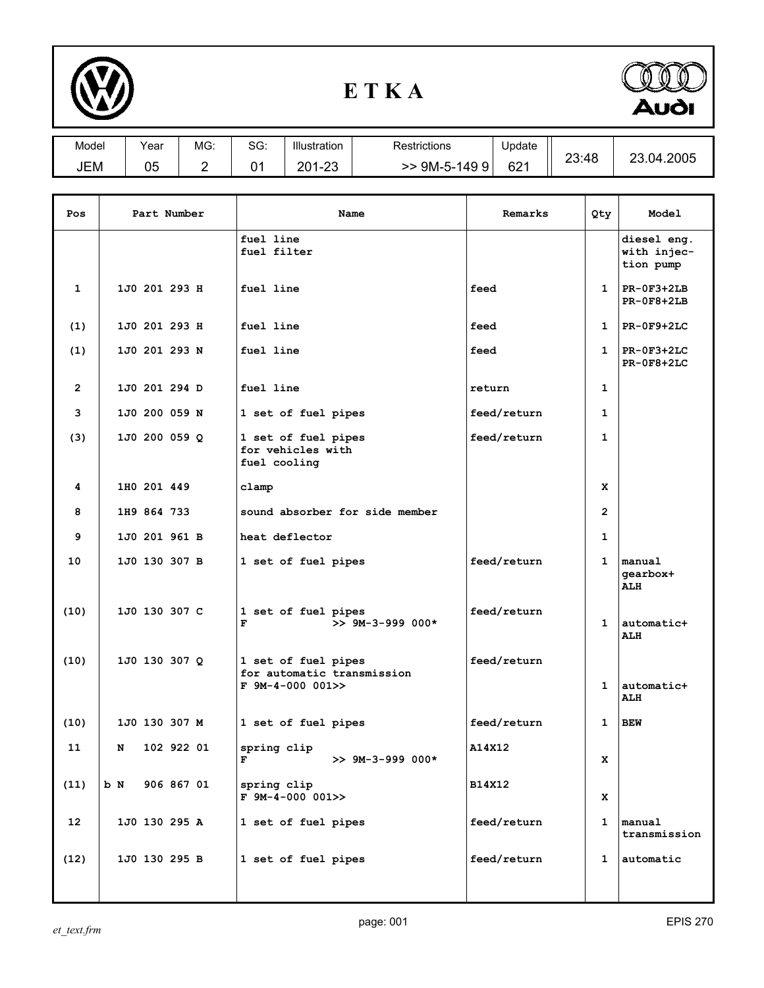

## **E T K A**



| Model | Year | MG:    | SG:             | <b>Illustration</b> | Restrictions   | Update |       | 23.04.2005 |
|-------|------|--------|-----------------|---------------------|----------------|--------|-------|------------|
| JEM   | 05   | ົ<br>- | <b>01</b><br>U. | 201-23              | $>$ 9M-5-149 9 | 621    | 23:48 |            |
|       |      |        |                 |                     |                |        |       |            |
|       |      |        |                 |                     |                |        |       |            |

| Pos             | Part Number      | Name                                                                    | Remarks     | Qty            | Model                                   |
|-----------------|------------------|-------------------------------------------------------------------------|-------------|----------------|-----------------------------------------|
|                 |                  | fuel line<br>fuel filter                                                |             |                | diesel eng.<br>with injec-<br>tion pump |
| 1               | 1J0 201 293 H    | fuel line                                                               | feed        | $\mathbf{1}$   | $PR-OF3+2LB$<br>$PR-0F8+2LB$            |
| (1)             | 1J0 201 293 H    | fuel line                                                               | feed        | $\mathbf{1}$   | $PR-0F9+2LC$                            |
| (1)             | 1J0 201 293 N    | fuel line                                                               | feed        | $\mathbf{1}$   | $PR-0F3+2LC$<br>$PR-0F8+2LC$            |
| 2               | 1J0 201 294 D    | fuel line                                                               | return      | 1              |                                         |
| 3               | 1J0 200 059 N    | 1 set of fuel pipes                                                     | feed/return | $\mathbf{1}$   |                                         |
| (3)             | 1J0 200 059 Q    | 1 set of fuel pipes<br>for vehicles with<br>fuel cooling                | feed/return | $\mathbf{1}$   |                                         |
| 4               | 1H0 201 449      | clamp                                                                   |             | x              |                                         |
| 8               | 1H9 864 733      | sound absorber for side member                                          |             | $\overline{2}$ |                                         |
| 9               | 1J0 201 961 B    | heat deflector                                                          |             | $\mathbf{1}$   |                                         |
| 10              | 1J0 130 307 B    | 1 set of fuel pipes                                                     | feed/return | 1              | manual<br>qearbox+<br><b>ALH</b>        |
| (10)            | 1J0 130 307 C    | 1 set of fuel pipes<br>$>> 9M-3-999 000*$<br>F                          | feed/return | $\mathbf{1}$   | automatic+<br><b>ALH</b>                |
| (10)            | 1J0 130 307 Q    | 1 set of fuel pipes<br>for automatic transmission<br>$F$ 9M-4-000 001>> | feed/return | $\mathbf{1}$   | automatic+<br>ALH                       |
| (10)            | 1J0 130 307 M    | 1 set of fuel pipes                                                     | feed/return | 1              | BEW                                     |
| 11              | 102 922 01<br>N  | spring clip<br>F<br>$>>$ 9M-3-999 000*                                  | A14X12      | x              |                                         |
| (11)            | 906 867 01<br>bМ | spring clip<br>$F$ 9M-4-000 001>>                                       | B14X12      | x              |                                         |
| 12 <sup>2</sup> | 1J0 130 295 A    | 1 set of fuel pipes                                                     | feed/return | $\mathbf{1}$   | manual<br>transmission                  |
| (12)            | 1J0 130 295 B    | 1 set of fuel pipes                                                     | feed/return | $\mathbf{1}$   | automatic                               |